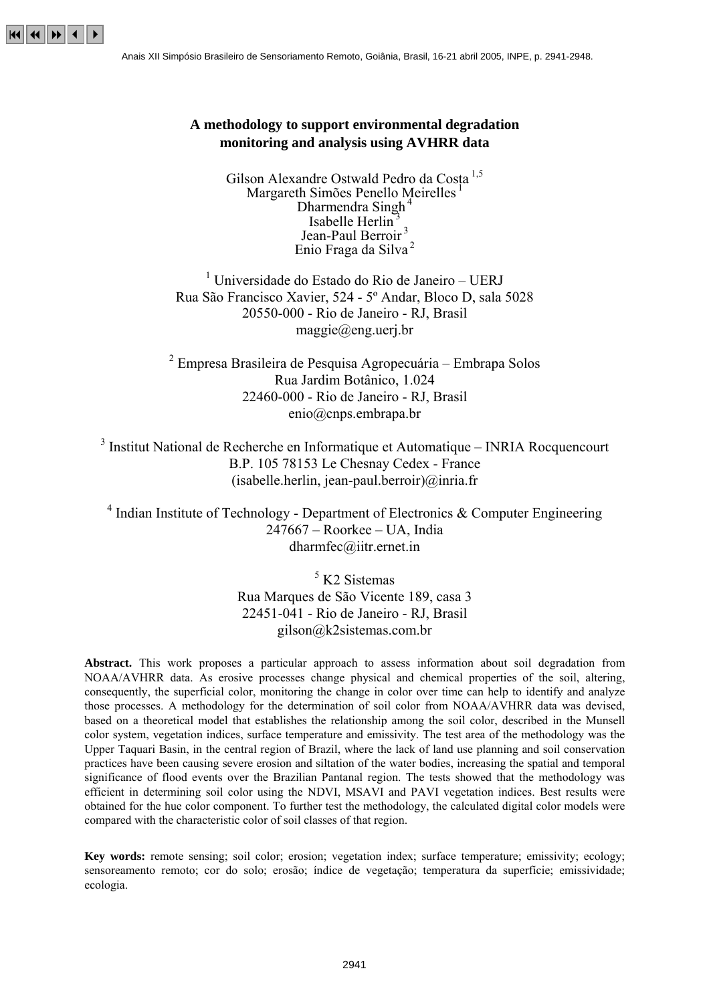

# **A methodology to support environmental degradation monitoring and analysis using AVHRR data**

Gilson Alexandre Ostwald Pedro da Costa 1,5 Margareth Simões Penello Meirelles<sup>1</sup> Dharmendra Singh<sup>4</sup> Isabelle Herlin<sup>3</sup> Jean-Paul Berroir<sup>3</sup> Enio Fraga da Silva <sup>2</sup>

 $<sup>1</sup>$  Universidade do Estado do Rio de Janeiro – UERJ</sup> Rua São Francisco Xavier, 524 - 5º Andar, Bloco D, sala 5028 20550-000 - Rio de Janeiro - RJ, Brasil maggie@eng.uerj.br

<sup>2</sup> Empresa Brasileira de Pesquisa Agropecuária – Embrapa Solos Rua Jardim Botânico, 1.024 22460-000 - Rio de Janeiro - RJ, Brasil enio@cnps.embrapa.br

 $3$  Institut National de Recherche en Informatique et Automatique – INRIA Rocquencourt B.P. 105 78153 Le Chesnay Cedex - France  $(isabelle.herlin.jean-paul.berroir)@inria.fr$ 

 $4$  Indian Institute of Technology - Department of Electronics & Computer Engineering  $247667 - Roorkee - UA$ , India dharmfec@iitr.ernet.in

> 5 K2 Sistemas Rua Marques de São Vicente 189, casa 3 22451-041 - Rio de Janeiro - RJ, Brasil gilson@k2sistemas.com.br

**Abstract.** This work proposes a particular approach to assess information about soil degradation from NOAA/AVHRR data. As erosive processes change physical and chemical properties of the soil, altering, consequently, the superficial color, monitoring the change in color over time can help to identify and analyze those processes. A methodology for the determination of soil color from NOAA/AVHRR data was devised, based on a theoretical model that establishes the relationship among the soil color, described in the Munsell color system, vegetation indices, surface temperature and emissivity. The test area of the methodology was the Upper Taquari Basin, in the central region of Brazil, where the lack of land use planning and soil conservation practices have been causing severe erosion and siltation of the water bodies, increasing the spatial and temporal significance of flood events over the Brazilian Pantanal region. The tests showed that the methodology was efficient in determining soil color using the NDVI, MSAVI and PAVI vegetation indices. Best results were obtained for the hue color component. To further test the methodology, the calculated digital color models were compared with the characteristic color of soil classes of that region.

**Key words:** remote sensing; soil color; erosion; vegetation index; surface temperature; emissivity; ecology; sensoreamento remoto; cor do solo; erosão; índice de vegetação; temperatura da superfície; emissividade; ecologia.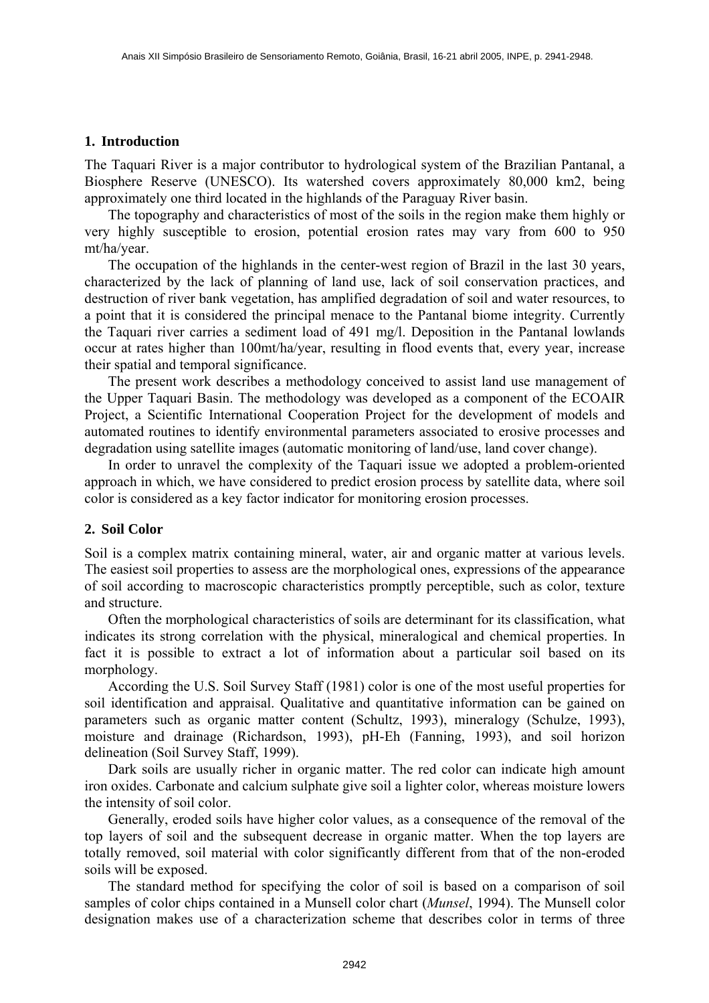### **1. Introduction**

The Taquari River is a major contributor to hydrological system of the Brazilian Pantanal, a Biosphere Reserve (UNESCO). Its watershed covers approximately 80,000 km2, being approximately one third located in the highlands of the Paraguay River basin.

 The topography and characteristics of most of the soils in the region make them highly or very highly susceptible to erosion, potential erosion rates may vary from 600 to 950 mt/ha/year.

 The occupation of the highlands in the center-west region of Brazil in the last 30 years, characterized by the lack of planning of land use, lack of soil conservation practices, and destruction of river bank vegetation, has amplified degradation of soil and water resources, to a point that it is considered the principal menace to the Pantanal biome integrity. Currently the Taquari river carries a sediment load of 491 mg/l. Deposition in the Pantanal lowlands occur at rates higher than 100mt/ha/year, resulting in flood events that, every year, increase their spatial and temporal significance.

 The present work describes a methodology conceived to assist land use management of the Upper Taquari Basin. The methodology was developed as a component of the ECOAIR Project, a Scientific International Cooperation Project for the development of models and automated routines to identify environmental parameters associated to erosive processes and degradation using satellite images (automatic monitoring of land/use, land cover change).

 In order to unravel the complexity of the Taquari issue we adopted a problem-oriented approach in which, we have considered to predict erosion process by satellite data, where soil color is considered as a key factor indicator for monitoring erosion processes.

## **2. Soil Color**

Soil is a complex matrix containing mineral, water, air and organic matter at various levels. The easiest soil properties to assess are the morphological ones, expressions of the appearance of soil according to macroscopic characteristics promptly perceptible, such as color, texture and structure.

 Often the morphological characteristics of soils are determinant for its classification, what indicates its strong correlation with the physical, mineralogical and chemical properties. In fact it is possible to extract a lot of information about a particular soil based on its morphology.

 According the U.S. Soil Survey Staff (1981) color is one of the most useful properties for soil identification and appraisal. Qualitative and quantitative information can be gained on parameters such as organic matter content (Schultz, 1993), mineralogy (Schulze, 1993), moisture and drainage (Richardson, 1993), pH-Eh (Fanning, 1993), and soil horizon delineation (Soil Survey Staff, 1999).

 Dark soils are usually richer in organic matter. The red color can indicate high amount iron oxides. Carbonate and calcium sulphate give soil a lighter color, whereas moisture lowers the intensity of soil color.

 Generally, eroded soils have higher color values, as a consequence of the removal of the top layers of soil and the subsequent decrease in organic matter. When the top layers are totally removed, soil material with color significantly different from that of the non-eroded soils will be exposed.

 The standard method for specifying the color of soil is based on a comparison of soil samples of color chips contained in a Munsell color chart (*Munsel*, 1994). The Munsell color designation makes use of a characterization scheme that describes color in terms of three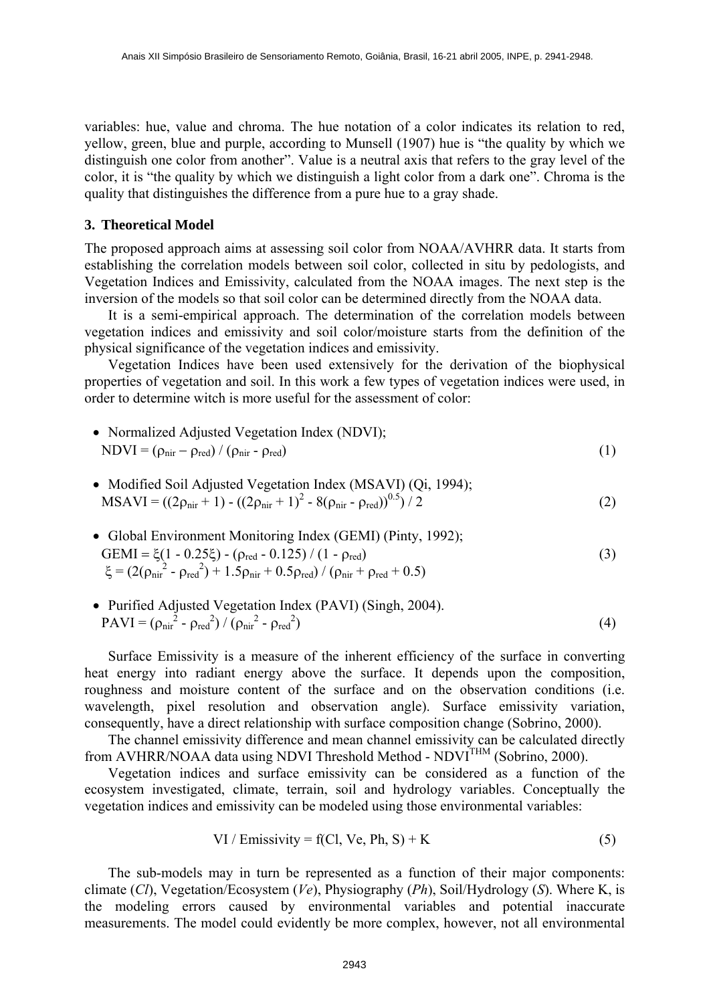variables: hue, value and chroma. The hue notation of a color indicates its relation to red, yellow, green, blue and purple, according to Munsell (1907) hue is "the quality by which we distinguish one color from another". Value is a neutral axis that refers to the gray level of the color, it is "the quality by which we distinguish a light color from a dark one". Chroma is the quality that distinguishes the difference from a pure hue to a gray shade.

### **3. Theoretical Model**

The proposed approach aims at assessing soil color from NOAA/AVHRR data. It starts from establishing the correlation models between soil color, collected in situ by pedologists, and Vegetation Indices and Emissivity, calculated from the NOAA images. The next step is the inversion of the models so that soil color can be determined directly from the NOAA data.

 It is a semi-empirical approach. The determination of the correlation models between vegetation indices and emissivity and soil color/moisture starts from the definition of the physical significance of the vegetation indices and emissivity.

 Vegetation Indices have been used extensively for the derivation of the biophysical properties of vegetation and soil. In this work a few types of vegetation indices were used, in order to determine witch is more useful for the assessment of color:

• Normalized Adjusted Vegetation Index (NDVI);  
NDVI = 
$$
(\rho_{\text{nir}} - \rho_{\text{red}}) / (\rho_{\text{nir}} - \rho_{\text{red}})
$$
 (1)

- Modified Soil Adjusted Vegetation Index (MSAVI) (Qi, 1994);  $MSAVI = ((2\rho_{\text{nir}} + 1) - ((2\rho_{\text{nir}} + 1)^2 - 8(\rho_{\text{nir}} - \rho_{\text{red}}))^{0.5}) / 2$  (2)
- Global Environment Monitoring Index (GEMI) (Pinty, 1992); GEMI =  $\xi(1 - 0.25\xi) - (\rho_{\text{red}} - 0.125) / (1 - \rho_{\text{red}})$  (3)  $\xi = (2(\rho_{\text{nir}}^2 - \rho_{\text{red}}^2) + 1.5\rho_{\text{nir}} + 0.5\rho_{\text{red}}) / (\rho_{\text{nir}} + \rho_{\text{red}} + 0.5)$

• Purified Adjusted Vegetation Index (PAVI) (Singh, 2004).  
PAVI = 
$$
(\rho_{\text{nir}}^2 - \rho_{\text{red}}^2) / (\rho_{\text{nir}}^2 - \rho_{\text{red}}^2)
$$
 (4)

 Surface Emissivity is a measure of the inherent efficiency of the surface in converting heat energy into radiant energy above the surface. It depends upon the composition, roughness and moisture content of the surface and on the observation conditions (i.e. wavelength, pixel resolution and observation angle). Surface emissivity variation, consequently, have a direct relationship with surface composition change (Sobrino, 2000).

 The channel emissivity difference and mean channel emissivity can be calculated directly from AVHRR/NOAA data using NDVI Threshold Method - NDVI<sup>THM</sup> (Sobrino, 2000).

 Vegetation indices and surface emissivity can be considered as a function of the ecosystem investigated, climate, terrain, soil and hydrology variables. Conceptually the vegetation indices and emissivity can be modeled using those environmental variables:

VI / Emissivity = f(Cl, Ve, Ph, S) + K 
$$
(5)
$$

 The sub-models may in turn be represented as a function of their major components: climate (*Cl*), Vegetation/Ecosystem (*Ve*), Physiography (*Ph*), Soil/Hydrology (*S*). Where K, is the modeling errors caused by environmental variables and potential inaccurate measurements. The model could evidently be more complex, however, not all environmental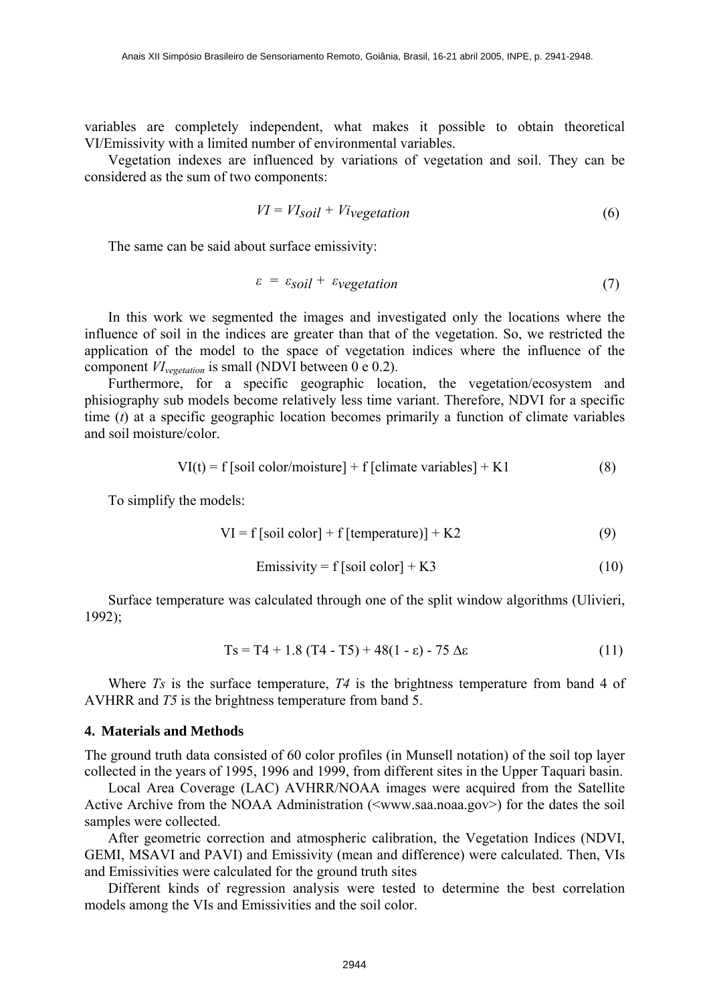variables are completely independent, what makes it possible to obtain theoretical VI/Emissivity with a limited number of environmental variables.

 Vegetation indexes are influenced by variations of vegetation and soil. They can be considered as the sum of two components:

$$
VI = VISoil + Viveg etation
$$
 (6)

The same can be said about surface emissivity:

$$
\varepsilon = \varepsilon_{\text{solid}} + \varepsilon_{\text{vegetation}} \tag{7}
$$

 In this work we segmented the images and investigated only the locations where the influence of soil in the indices are greater than that of the vegetation. So, we restricted the application of the model to the space of vegetation indices where the influence of the component *VIvegetation* is small (NDVI between 0 e 0.2).

 Furthermore, for a specific geographic location, the vegetation/ecosystem and phisiography sub models become relatively less time variant. Therefore, NDVI for a specific time (*t*) at a specific geographic location becomes primarily a function of climate variables and soil moisture/color.

$$
VI(t) = f [soil color/moisture] + f [climate variables] + K1
$$
 (8)

To simplify the models:

$$
VI = f[soil color] + f[temperature)] + K2
$$
 (9)

$$
Emissivity = f [soil color] + K3
$$
 (10)

 Surface temperature was calculated through one of the split window algorithms (Ulivieri, 1992);

$$
Ts = T4 + 1.8 (T4 - T5) + 48(1 - \varepsilon) - 75 \Delta \varepsilon \tag{11}
$$

Where *Ts* is the surface temperature, *T4* is the brightness temperature from band 4 of AVHRR and *T5* is the brightness temperature from band 5.

#### **4. Materials and Methods**

The ground truth data consisted of 60 color profiles (in Munsell notation) of the soil top layer collected in the years of 1995, 1996 and 1999, from different sites in the Upper Taquari basin.

 Local Area Coverage (LAC) AVHRR/NOAA images were acquired from the Satellite Active Archive from the NOAA Administration (<www.saa.noaa.gov>) for the dates the soil samples were collected.

 After geometric correction and atmospheric calibration, the Vegetation Indices (NDVI, GEMI, MSAVI and PAVI) and Emissivity (mean and difference) were calculated. Then, VIs and Emissivities were calculated for the ground truth sites

 Different kinds of regression analysis were tested to determine the best correlation models among the VIs and Emissivities and the soil color.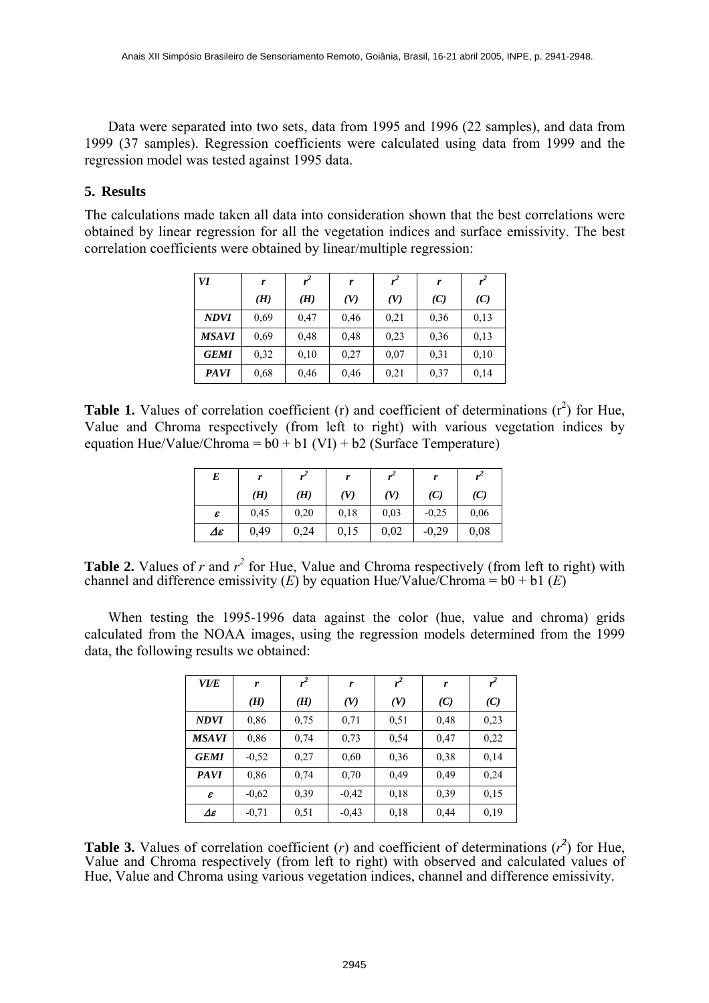Data were separated into two sets, data from 1995 and 1996 (22 samples), and data from 1999 (37 samples). Regression coefficients were calculated using data from 1999 and the regression model was tested against 1995 data.

# **5. Results**

The calculations made taken all data into consideration shown that the best correlations were obtained by linear regression for all the vegetation indices and surface emissivity. The best correlation coefficients were obtained by linear/multiple regression:

| VI          | r    | $r^2$ | r    | r <sup>2</sup> | r    | $r^2$ |
|-------------|------|-------|------|----------------|------|-------|
|             | (H)  | (H)   | (V)  | (V)            | (C)  | (C)   |
| <b>NDVI</b> | 0.69 | 0.47  | 0,46 | 0,21           | 0.36 | 0,13  |
| MSAVI       | 0.69 | 0,48  | 0,48 | 0,23           | 0,36 | 0,13  |
| <b>GEMI</b> | 0,32 | 0,10  | 0,27 | 0,07           | 0.31 | 0,10  |
| <b>PAVI</b> | 0.68 | 0,46  | 0,46 | 0,21           | 0,37 | 0,14  |

**Table 1.** Values of correlation coefficient (r) and coefficient of determinations  $(r^2)$  for Hue, Value and Chroma respectively (from left to right) with various vegetation indices by equation Hue/Value/Chroma =  $b0 + b1$  (VI) +  $b2$  (Surface Temperature)

| E                                   | r    | $r^2$ |      |      | r       |      |
|-------------------------------------|------|-------|------|------|---------|------|
|                                     | (H)  | (H)   | (V)  | (V)  | (C)     | (C)  |
| ε                                   | 0.45 | 0,20  | 0.18 | 0,03 | $-0.25$ | 0.06 |
| $\boldsymbol{\varDelta\varepsilon}$ | 0,49 | 0,24  | 0,15 | 0,02 | $-0,29$ | 0,08 |

**Table 2.** Values of  $r$  and  $r^2$  for Hue, Value and Chroma respectively (from left to right) with channel and difference emissivity  $(E)$  by equation Hue/Value/Chroma =  $b0 + b1 (E)$ 

 When testing the 1995-1996 data against the color (hue, value and chroma) grids calculated from the NOAA images, using the regression models determined from the 1999 data, the following results we obtained:

| <i>VI/E</i>         | r       | $r^2$ | r       | r <sup>2</sup> | r    | $r^2$ |
|---------------------|---------|-------|---------|----------------|------|-------|
|                     | (H)     | (H)   | (V)     | (V)            | (C)  | (C)   |
| <b>NDVI</b>         | 0,86    | 0.75  | 0.71    | 0,51           | 0,48 | 0,23  |
| MSAVI               | 0,86    | 0.74  | 0,73    | 0,54           | 0,47 | 0,22  |
| <b>GEMI</b>         | $-0,52$ | 0,27  | 0,60    | 0,36           | 0,38 | 0,14  |
| <b>PAVI</b>         | 0,86    | 0.74  | 0,70    | 0.49           | 0.49 | 0,24  |
| $\pmb{\varepsilon}$ | $-0,62$ | 0.39  | $-0,42$ | 0.18           | 0.39 | 0,15  |
| Δε                  | $-0,71$ | 0.51  | $-0,43$ | 0,18           | 0,44 | 0,19  |

**Table 3.** Values of correlation coefficient (*r*) and coefficient of determinations ( $r^2$ ) for Hue, Value and Chroma respectively (from left to right) with observed and calculated values of Hue, Value and Chroma using various vegetation indices, channel and difference emissivity.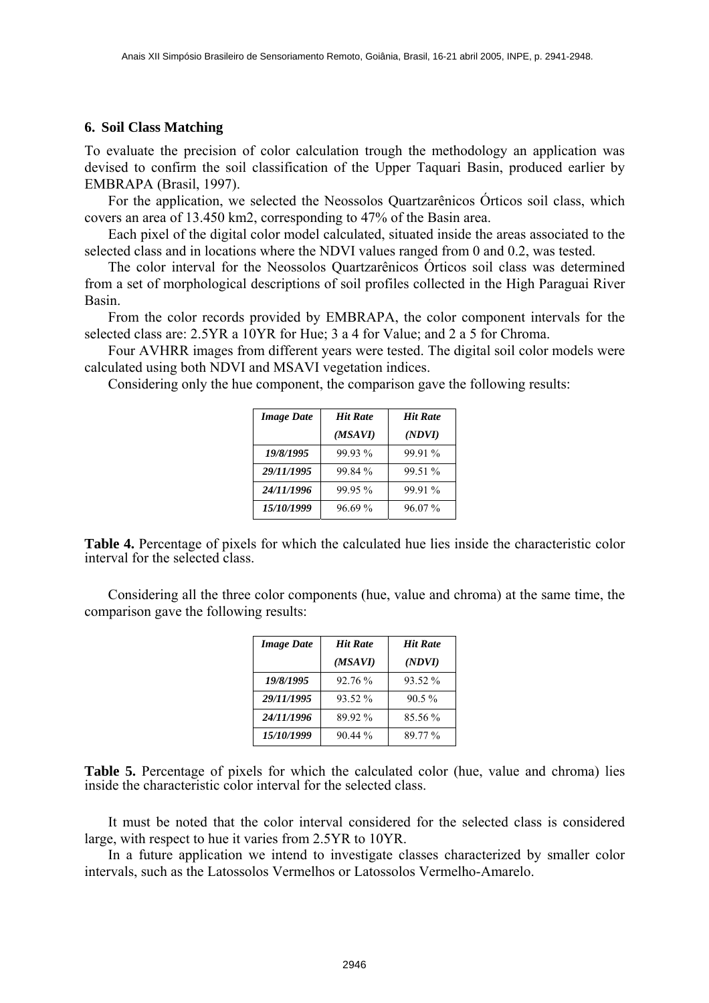### **6. Soil Class Matching**

To evaluate the precision of color calculation trough the methodology an application was devised to confirm the soil classification of the Upper Taquari Basin, produced earlier by EMBRAPA (Brasil, 1997).

For the application, we selected the Neossolos Quartzarênicos Orticos soil class, which covers an area of 13.450 km2, corresponding to 47% of the Basin area.

 Each pixel of the digital color model calculated, situated inside the areas associated to the selected class and in locations where the NDVI values ranged from 0 and 0.2, was tested.

The color interval for the Neossolos Quartzarênicos Órticos soil class was determined from a set of morphological descriptions of soil profiles collected in the High Paraguai River Basin.

 From the color records provided by EMBRAPA, the color component intervals for the selected class are: 2.5YR a 10YR for Hue; 3 a 4 for Value; and 2 a 5 for Chroma.

 Four AVHRR images from different years were tested. The digital soil color models were calculated using both NDVI and MSAVI vegetation indices.

Considering only the hue component, the comparison gave the following results:

| <b>Image Date</b> | <b>Hit Rate</b> | <b>Hit Rate</b> |  |
|-------------------|-----------------|-----------------|--|
|                   | (MSAVI)         | (NDVI)          |  |
| 19/8/1995         | 99.93%          | 99.91 %         |  |
| 29/11/1995        | 99.84 %         | 99.51 %         |  |
| 24/11/1996        | 99.95%          | 99.91 %         |  |
| 15/10/1999        | 96.69%          | $96.07\%$       |  |

**Table 4.** Percentage of pixels for which the calculated hue lies inside the characteristic color interval for the selected class.

 Considering all the three color components (hue, value and chroma) at the same time, the comparison gave the following results:

| <b>Image Date</b> | <b>Hit Rate</b> | <b>Hit Rate</b> |  |
|-------------------|-----------------|-----------------|--|
|                   | (MSAVI)         | (NDVI)          |  |
| 19/8/1995         | 92.76 %         | 93.52 %         |  |
| 29/11/1995        | 93.52 %         | $90.5\%$        |  |
| 24/11/1996        | 89.92%          | 85.56 %         |  |
| 15/10/1999        | $9044\%$        | 89.77%          |  |

**Table 5.** Percentage of pixels for which the calculated color (hue, value and chroma) lies inside the characteristic color interval for the selected class.

 It must be noted that the color interval considered for the selected class is considered large, with respect to hue it varies from 2.5YR to 10YR.

 In a future application we intend to investigate classes characterized by smaller color intervals, such as the Latossolos Vermelhos or Latossolos Vermelho-Amarelo.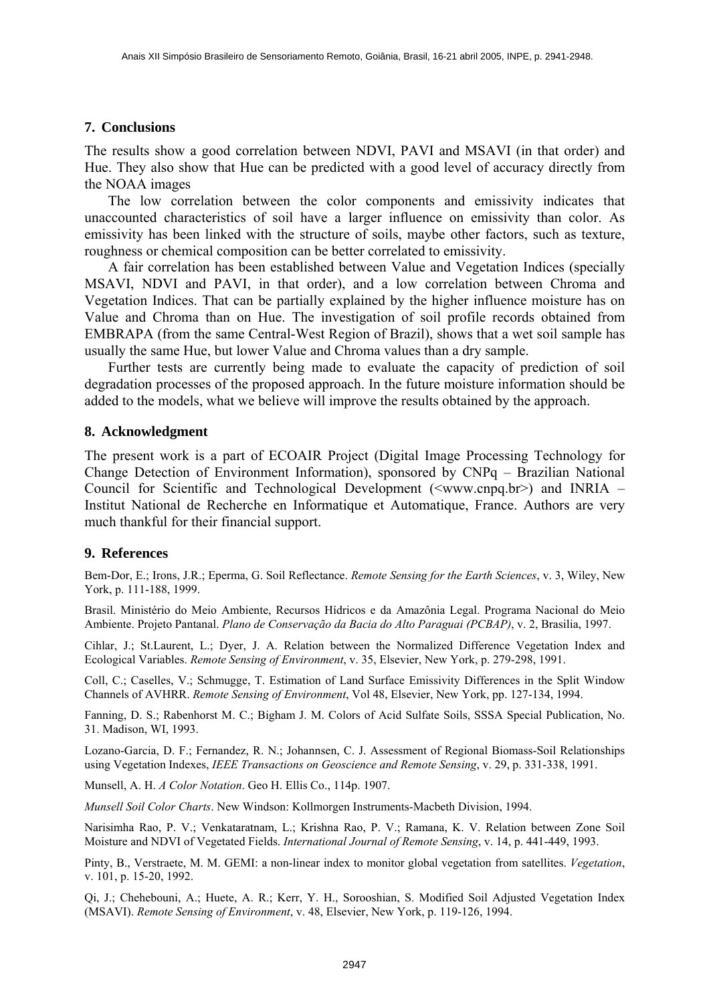### **7. Conclusions**

The results show a good correlation between NDVI, PAVI and MSAVI (in that order) and Hue. They also show that Hue can be predicted with a good level of accuracy directly from the NOAA images

 The low correlation between the color components and emissivity indicates that unaccounted characteristics of soil have a larger influence on emissivity than color. As emissivity has been linked with the structure of soils, maybe other factors, such as texture, roughness or chemical composition can be better correlated to emissivity.

 A fair correlation has been established between Value and Vegetation Indices (specially MSAVI, NDVI and PAVI, in that order), and a low correlation between Chroma and Vegetation Indices. That can be partially explained by the higher influence moisture has on Value and Chroma than on Hue. The investigation of soil profile records obtained from EMBRAPA (from the same Central-West Region of Brazil), shows that a wet soil sample has usually the same Hue, but lower Value and Chroma values than a dry sample.

 Further tests are currently being made to evaluate the capacity of prediction of soil degradation processes of the proposed approach. In the future moisture information should be added to the models, what we believe will improve the results obtained by the approach.

#### **8. Acknowledgment**

The present work is a part of ECOAIR Project (Digital Image Processing Technology for Change Detection of Environment Information), sponsored by  $CNPq - Brazilian National$ Council for Scientific and Technological Development ( $\langle$ www.cnpq.br>) and INRIA – Institut National de Recherche en Informatique et Automatique, France. Authors are very much thankful for their financial support.

## **9. References**

Bem-Dor, E.; Irons, J.R.; Eperma, G. Soil Reflectance. *Remote Sensing for the Earth Sciences*, v. 3, Wiley, New York, p. 111-188, 1999.

Brasil. Ministério do Meio Ambiente, Recursos Hídricos e da Amazônia Legal. Programa Nacional do Meio Ambiente. Projeto Pantanal. *Plano de Conservação da Bacia do Alto Paraguai (PCBAP)*, v. 2, Brasilia, 1997.

Cihlar, J.; St.Laurent, L.; Dyer, J. A. Relation between the Normalized Difference Vegetation Index and Ecological Variables. *Remote Sensing of Environment*, v. 35, Elsevier, New York, p. 279-298, 1991.

Coll, C.; Caselles, V.; Schmugge, T. Estimation of Land Surface Emissivity Differences in the Split Window Channels of AVHRR. *Remote Sensing of Environment*, Vol 48, Elsevier, New York, pp. 127-134, 1994.

Fanning, D. S.; Rabenhorst M. C.; Bigham J. M. Colors of Acid Sulfate Soils, SSSA Special Publication, No. 31. Madison, WI, 1993.

Lozano-Garcia, D. F.; Fernandez, R. N.; Johannsen, C. J. Assessment of Regional Biomass-Soil Relationships using Vegetation Indexes, *IEEE Transactions on Geoscience and Remote Sensing*, v. 29, p. 331-338, 1991.

Munsell, A. H. *A Color Notation*. Geo H. Ellis Co., 114p. 1907.

*Munsell Soil Color Charts*. New Windson: Kollmorgen Instruments-Macbeth Division, 1994.

Narisimha Rao, P. V.; Venkataratnam, L.; Krishna Rao, P. V.; Ramana, K. V. Relation between Zone Soil Moisture and NDVI of Vegetated Fields. *International Journal of Remote Sensing*, v. 14, p. 441-449, 1993.

Pinty, B., Verstraete, M. M. GEMI: a non-linear index to monitor global vegetation from satellites. *Vegetation*, v. 101, p. 15-20, 1992.

Qi, J.; Chehebouni, A.; Huete, A. R.; Kerr, Y. H., Sorooshian, S. Modified Soil Adjusted Vegetation Index (MSAVI). *Remote Sensing of Environment*, v. 48, Elsevier, New York, p. 119-126, 1994.